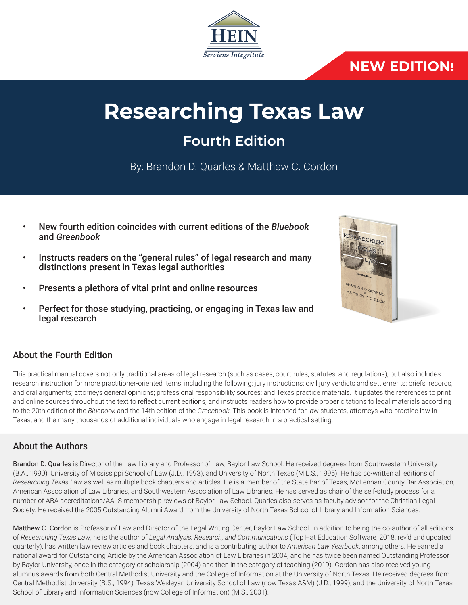

# **NEW EDITION!**

# **Researching Texas Law**

# **Fourth Edition**

By: Brandon D. Quarles & Matthew C. Cordon

- New fourth edition coincides with current editions of the *Bluebook*  and *Greenbook*
- Instructs readers on the "general rules" of legal research and many distinctions present in Texas legal authorities
- Presents a plethora of vital print and online resources
- Perfect for those studying, practicing, or engaging in Texas law and legal research

## About the Fourth Edition

This practical manual covers not only traditional areas of legal research (such as cases, court rules, statutes, and regulations), but also includes research instruction for more practitioner-oriented items, including the following: jury instructions; civil jury verdicts and settlements; briefs, records, and oral arguments; attorneys general opinions; professional responsibility sources; and Texas practice materials. It updates the references to print and online sources throughout the text to reflect current editions, and instructs readers how to provide proper citations to legal materials according to the 20th edition of the *Bluebook* and the 14th edition of the *Greenbook*. This book is intended for law students, attorneys who practice law in Texas, and the many thousands of additional individuals who engage in legal research in a practical setting.

### About the Authors

Brandon D. Quarles is Director of the Law Library and Professor of Law, Baylor Law School. He received degrees from Southwestern University (B.A., 1990), University of Mississippi School of Law (J.D., 1993), and University of North Texas (M.L.S., 1995). He has co-written all editions of *Researching Texas Law* as well as multiple book chapters and articles. He is a member of the State Bar of Texas, McLennan County Bar Association, American Association of Law Libraries, and Southwestern Association of Law Libraries. He has served as chair of the self-study process for a number of ABA accreditations/AALS membership reviews of Baylor Law School. Quarles also serves as faculty advisor for the Christian Legal Society. He received the 2005 Outstanding Alumni Award from the University of North Texas School of Library and Information Sciences.

Matthew C. Cordon is Professor of Law and Director of the Legal Writing Center, Baylor Law School. In addition to being the co-author of all editions of *Researching Texas Law*, he is the author of *Legal Analysis, Research, and Communications* (Top Hat Education Software, 2018, rev'd and updated quarterly), has written law review articles and book chapters, and is a contributing author to *American Law Yearbook*, among others. He earned a national award for Outstanding Article by the American Association of Law Libraries in 2004, and he has twice been named Outstanding Professor by Baylor University, once in the category of scholarship (2004) and then in the category of teaching (2019). Cordon has also received young alumnus awards from both Central Methodist University and the College of Information at the University of North Texas. He received degrees from Central Methodist University (B.S., 1994), Texas Wesleyan University School of Law (now Texas A&M) (J.D., 1999), and the University of North Texas School of Library and Information Sciences (now College of Information) (M.S., 2001).